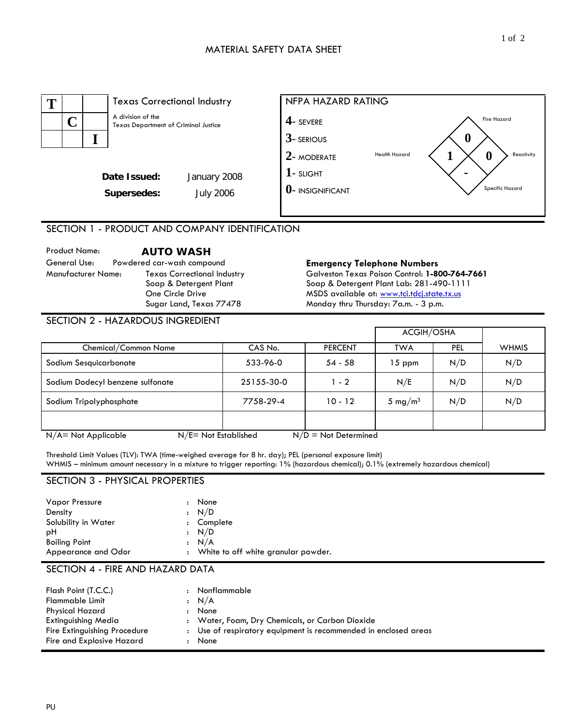

SECTION 1 - PRODUCT AND COMPANY IDENTIFICATION

Product Name: **AUTO WASH** General Use: Powdered car-wash compound **Emergency Telephone Numbers**  Texas Correctional Industry Soap & Detergent Plant One Circle Drive Sugar Land, Texas 77478

Galveston Texas Poison Control: **1-800-764-7661**  Soap & Detergent Plant Lab: 281-490-1111 MSDS available at: www.tci.tdcj.state.tx.us Monday thru Thursday: 7a.m. - 3 p.m.

### SECTION 2 - HAZARDOUS INGREDIENT

|                                                   |            |                        | ACGIH/OSHA          |            |              |
|---------------------------------------------------|------------|------------------------|---------------------|------------|--------------|
| Chemical/Common Name                              | CAS No.    | <b>PERCENT</b>         | <b>TWA</b>          | <b>PEL</b> | <b>WHMIS</b> |
| Sodium Sesquicarbonate                            | 533-96-0   | 54 - 58                | 15 ppm              | N/D        | N/D          |
| Sodium Dodecyl benzene sulfonate                  | 25155-30-0 | $1 - 2$                | N/E                 | N/D        | N/D          |
| Sodium Tripolyphosphate                           | 7758-29-4  | $10 - 12$              | 5 mg/m <sup>3</sup> | N/D        | N/D          |
|                                                   |            |                        |                     |            |              |
| $N/E = Not$ Established<br>$N/A = Not Applicable$ |            | $N/D = Not$ Determined |                     |            |              |

Threshold Limit Values (TLV): TWA (time-weighed average for 8 hr. day); PEL (personal exposure limit) WHMIS – minimum amount necessary in a mixture to trigger reporting: 1% (hazardous chemical); 0.1% (extremely hazardous chemical)

### SECTION 3 - PHYSICAL PROPERTIES

| <b>Vapor Pressure</b> | None                                  |
|-----------------------|---------------------------------------|
| Density               | : N/D                                 |
| Solubility in Water   | : Complete                            |
| рH                    | : N/D                                 |
| <b>Boiling Point</b>  | : N/A                                 |
| Appearance and Odor   | : White to off white granular powder. |

### SECTION 4 - FIRE AND HAZARD DATA

| Flash Point (T.C.C.)         | Nonflammable                                                    |
|------------------------------|-----------------------------------------------------------------|
| <b>Flammable Limit</b>       | $\cdot$ N/A                                                     |
| Physical Hazard              | None                                                            |
| Extinguishing Media          | : Water, Foam, Dry Chemicals, or Carbon Dioxide                 |
| Fire Extinguishing Procedure | : Use of respiratory equipment is recommended in enclosed areas |
| Fire and Explosive Hazard    | : None                                                          |